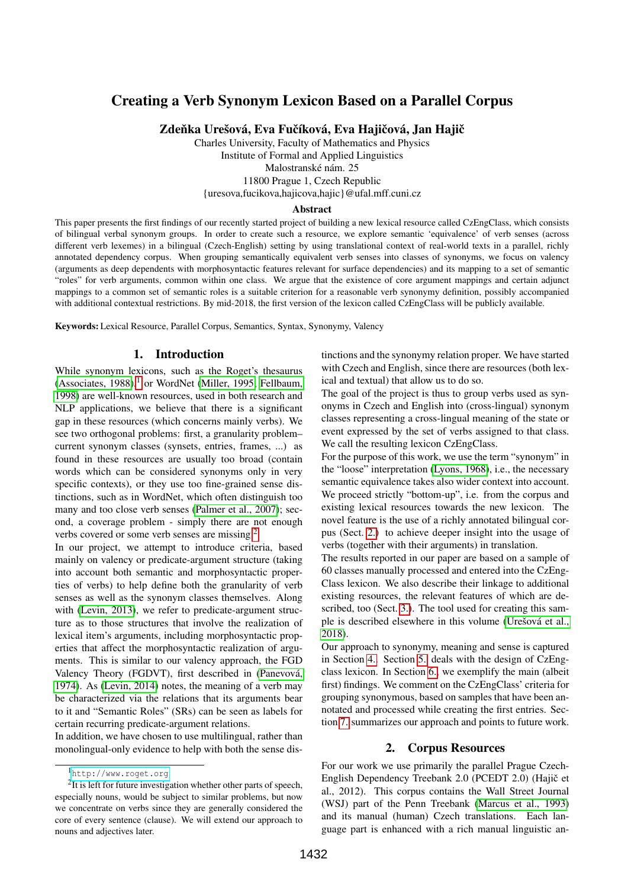# Creating a Verb Synonym Lexicon Based on a Parallel Corpus

Zdeňka Urešová, Eva Fučíková, Eva Hajičová, Jan Hajič

Charles University, Faculty of Mathematics and Physics Institute of Formal and Applied Linguistics Malostranské nám. 25 11800 Prague 1, Czech Republic

{uresova,fucikova,hajicova,hajic}@ufal.mff.cuni.cz

#### Abstract

This paper presents the first findings of our recently started project of building a new lexical resource called CzEngClass, which consists of bilingual verbal synonym groups. In order to create such a resource, we explore semantic 'equivalence' of verb senses (across different verb lexemes) in a bilingual (Czech-English) setting by using translational context of real-world texts in a parallel, richly annotated dependency corpus. When grouping semantically equivalent verb senses into classes of synonyms, we focus on valency (arguments as deep dependents with morphosyntactic features relevant for surface dependencies) and its mapping to a set of semantic "roles" for verb arguments, common within one class. We argue that the existence of core argument mappings and certain adjunct mappings to a common set of semantic roles is a suitable criterion for a reasonable verb synonymy definition, possibly accompanied with additional contextual restrictions. By mid-2018, the first version of the lexicon called CzEngClass will be publicly available.

Keywords: Lexical Resource, Parallel Corpus, Semantics, Syntax, Synonymy, Valency

### 1. Introduction

While synonym lexicons, such as the Roget's thesaurus [\(Associates, 1988\)](#page-4-0), $<sup>1</sup>$  $<sup>1</sup>$  $<sup>1</sup>$  or WordNet [\(Miller, 1995;](#page-5-0) [Fellbaum,](#page-4-1)</sup> [1998\)](#page-4-1) are well-known resources, used in both research and NLP applications, we believe that there is a significant gap in these resources (which concerns mainly verbs). We see two orthogonal problems: first, a granularity problem– current synonym classes (synsets, entries, frames, ...) as found in these resources are usually too broad (contain words which can be considered synonyms only in very specific contexts), or they use too fine-grained sense distinctions, such as in WordNet, which often distinguish too many and too close verb senses [\(Palmer et al., 2007\)](#page-5-1); second, a coverage problem - simply there are not enough verbs covered or some verb senses are missing.[2](#page-0-1)

In our project, we attempt to introduce criteria, based mainly on valency or predicate-argument structure (taking into account both semantic and morphosyntactic properties of verbs) to help define both the granularity of verb senses as well as the synonym classes themselves. Along with [\(Levin, 2013\)](#page-4-2), we refer to predicate-argument structure as to those structures that involve the realization of lexical item's arguments, including morphosyntactic properties that affect the morphosyntactic realization of arguments. This is similar to our valency approach, the FGD Valency Theory (FGDVT), first described in [\(Panevová,](#page-5-2) [1974\)](#page-5-2). As [\(Levin, 2014\)](#page-4-3) notes, the meaning of a verb may be characterized via the relations that its arguments bear to it and "Semantic Roles" (SRs) can be seen as labels for certain recurring predicate-argument relations.

In addition, we have chosen to use multilingual, rather than monolingual-only evidence to help with both the sense distinctions and the synonymy relation proper. We have started with Czech and English, since there are resources (both lexical and textual) that allow us to do so.

The goal of the project is thus to group verbs used as synonyms in Czech and English into (cross-lingual) synonym classes representing a cross-lingual meaning of the state or event expressed by the set of verbs assigned to that class. We call the resulting lexicon CzEngClass.

For the purpose of this work, we use the term "synonym" in the "loose" interpretation [\(Lyons, 1968\)](#page-4-4), i.e., the necessary semantic equivalence takes also wider context into account. We proceed strictly "bottom-up", i.e. from the corpus and existing lexical resources towards the new lexicon. The novel feature is the use of a richly annotated bilingual corpus (Sect. [2.\)](#page-0-2) to achieve deeper insight into the usage of verbs (together with their arguments) in translation.

The results reported in our paper are based on a sample of 60 classes manually processed and entered into the CzEng-Class lexicon. We also describe their linkage to additional existing resources, the relevant features of which are described, too (Sect. [3.\)](#page-1-0). The tool used for creating this sample is described elsewhere in this volume [\(Urešová et al.,](#page-5-3) [2018\)](#page-5-3).

Our approach to synonymy, meaning and sense is captured in Section [4..](#page-1-1) Section [5.](#page-2-0) deals with the design of CzEngclass lexicon. In Section [6.,](#page-2-1) we exemplify the main (albeit first) findings. We comment on the CzEngClass' criteria for grouping synonymous, based on samples that have been annotated and processed while creating the first entries. Section [7.](#page-4-5) summarizes our approach and points to future work.

# 2. Corpus Resources

<span id="page-0-2"></span>For our work we use primarily the parallel Prague Czech-English Dependency Treebank 2.0 (PCEDT 2.0) (Hajič et al., 2012). This corpus contains the Wall Street Journal (WSJ) part of the Penn Treebank [\(Marcus et al., 1993\)](#page-4-6) and its manual (human) Czech translations. Each language part is enhanced with a rich manual linguistic an-

<span id="page-0-1"></span><span id="page-0-0"></span><sup>1</sup><http://www.roget.org>

 $2$ It is left for future investigation whether other parts of speech, especially nouns, would be subject to similar problems, but now we concentrate on verbs since they are generally considered the core of every sentence (clause). We will extend our approach to nouns and adjectives later.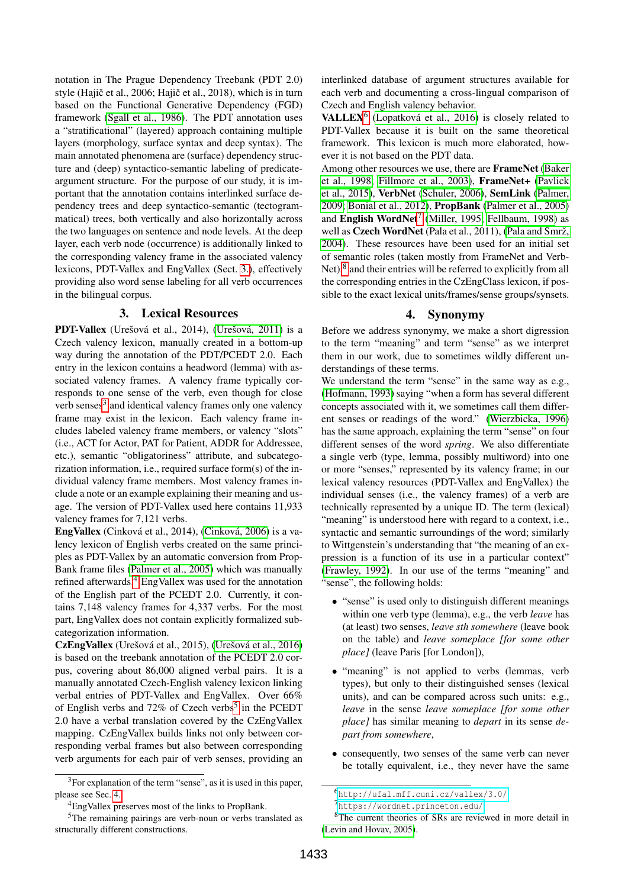notation in The Prague Dependency Treebank (PDT 2.0) style (Hajič et al., 2006; Hajič et al., 2018), which is in turn based on the Functional Generative Dependency (FGD) framework [\(Sgall et al., 1986\)](#page-5-4). The PDT annotation uses a "stratificational" (layered) approach containing multiple layers (morphology, surface syntax and deep syntax). The main annotated phenomena are (surface) dependency structure and (deep) syntactico-semantic labeling of predicateargument structure. For the purpose of our study, it is important that the annotation contains interlinked surface dependency trees and deep syntactico-semantic (tectogrammatical) trees, both vertically and also horizontally across the two languages on sentence and node levels. At the deep layer, each verb node (occurrence) is additionally linked to the corresponding valency frame in the associated valency lexicons, PDT-Vallex and EngVallex (Sect. [3.\)](#page-1-0), effectively providing also word sense labeling for all verb occurrences in the bilingual corpus.

## 3. Lexical Resources

<span id="page-1-0"></span>PDT-Vallex (Urešová et al., 2014), [\(Urešová, 2011\)](#page-5-5) is a Czech valency lexicon, manually created in a bottom-up way during the annotation of the PDT/PCEDT 2.0. Each entry in the lexicon contains a headword (lemma) with associated valency frames. A valency frame typically corresponds to one sense of the verb, even though for close verb senses<sup>[3](#page-1-2)</sup> and identical valency frames only one valency frame may exist in the lexicon. Each valency frame includes labeled valency frame members, or valency "slots" (i.e., ACT for Actor, PAT for Patient, ADDR for Addressee, etc.), semantic "obligatoriness" attribute, and subcategorization information, i.e., required surface form(s) of the individual valency frame members. Most valency frames include a note or an example explaining their meaning and usage. The version of PDT-Vallex used here contains 11,933 valency frames for 7,121 verbs.

EngVallex (Cinková et al., 2014), [\(Cinková, 2006\)](#page-4-7) is a valency lexicon of English verbs created on the same principles as PDT-Vallex by an automatic conversion from Prop-Bank frame files [\(Palmer et al., 2005\)](#page-5-6) which was manually refined afterwards.[4](#page-1-3) EngVallex was used for the annotation of the English part of the PCEDT 2.0. Currently, it contains 7,148 valency frames for 4,337 verbs. For the most part, EngVallex does not contain explicitly formalized subcategorization information.

CzEngVallex (Urešová et al., 2015), [\(Urešová et al., 2016\)](#page-5-7) is based on the treebank annotation of the PCEDT 2.0 corpus, covering about 86,000 aligned verbal pairs. It is a manually annotated Czech-English valency lexicon linking verbal entries of PDT-Vallex and EngVallex. Over 66% of English verbs and  $72\%$  of Czech verbs<sup>[5](#page-1-4)</sup> in the PCEDT 2.0 have a verbal translation covered by the CzEngVallex mapping. CzEngVallex builds links not only between corresponding verbal frames but also between corresponding verb arguments for each pair of verb senses, providing an interlinked database of argument structures available for each verb and documenting a cross-lingual comparison of Czech and English valency behavior.

VALLEX<sup>[6](#page-1-5)</sup> [\(Lopatková et al., 2016\)](#page-4-8) is closely related to PDT-Vallex because it is built on the same theoretical framework. This lexicon is much more elaborated, however it is not based on the PDT data.

Among other resources we use, there are FrameNet [\(Baker](#page-4-9) [et al., 1998;](#page-4-9) [Fillmore et al., 2003\)](#page-4-10), FrameNet+ [\(Pavlick](#page-5-8) [et al., 2015\)](#page-5-8), VerbNet [\(Schuler, 2006\)](#page-5-9), SemLink [\(Palmer,](#page-5-10) [2009;](#page-5-10) [Bonial et al., 2012\)](#page-4-11), PropBank [\(Palmer et al., 2005\)](#page-5-6) and English WordNet<sup>[7](#page-1-6)</sup> [\(Miller, 1995;](#page-5-0) [Fellbaum, 1998\)](#page-4-1) as well as Czech WordNet (Pala et al., 2011), [\(Pala and Smrž,](#page-5-11) [2004\)](#page-5-11). These resources have been used for an initial set of semantic roles (taken mostly from FrameNet and Verb-Net), $^8$  $^8$  and their entries will be referred to explicitly from all the corresponding entries in the CzEngClass lexicon, if possible to the exact lexical units/frames/sense groups/synsets.

# 4. Synonymy

<span id="page-1-1"></span>Before we address synonymy, we make a short digression to the term "meaning" and term "sense" as we interpret them in our work, due to sometimes wildly different understandings of these terms.

We understand the term "sense" in the same way as e.g., [\(Hofmann, 1993\)](#page-4-12) saying "when a form has several different concepts associated with it, we sometimes call them different senses or readings of the word." [\(Wierzbicka, 1996\)](#page-5-12) has the same approach, explaining the term "sense" on four different senses of the word *spring*. We also differentiate a single verb (type, lemma, possibly multiword) into one or more "senses," represented by its valency frame; in our lexical valency resources (PDT-Vallex and EngVallex) the individual senses (i.e., the valency frames) of a verb are technically represented by a unique ID. The term (lexical) "meaning" is understood here with regard to a context, i.e., syntactic and semantic surroundings of the word; similarly to Wittgenstein's understanding that "the meaning of an expression is a function of its use in a particular context" [\(Frawley, 1992\)](#page-4-13). In our use of the terms "meaning" and "sense", the following holds:

- "sense" is used only to distinguish different meanings within one verb type (lemma), e.g., the verb *leave* has (at least) two senses, *leave sth somewhere* (leave book on the table) and *leave someplace [for some other place]* (leave Paris [for London]),
- "meaning" is not applied to verbs (lemmas, verb types), but only to their distinguished senses (lexical units), and can be compared across such units: e.g., *leave* in the sense *leave someplace [for some other place]* has similar meaning to *depart* in its sense *depart from somewhere*,
- consequently, two senses of the same verb can never be totally equivalent, i.e., they never have the same

<span id="page-1-2"></span><sup>3</sup>For explanation of the term "sense", as it is used in this paper, please see Sec. [4..](#page-1-1)

<span id="page-1-4"></span><span id="page-1-3"></span><sup>4</sup>EngVallex preserves most of the links to PropBank.

<sup>5</sup>The remaining pairings are verb-noun or verbs translated as structurally different constructions.

<span id="page-1-5"></span><sup>6</sup><http://ufal.mff.cuni.cz/vallex/3.0/>

<span id="page-1-7"></span><span id="page-1-6"></span><sup>7</sup><https://wordnet.princeton.edu/>

<sup>8</sup>The current theories of SRs are reviewed in more detail in [\(Levin and Hovav, 2005\)](#page-4-14).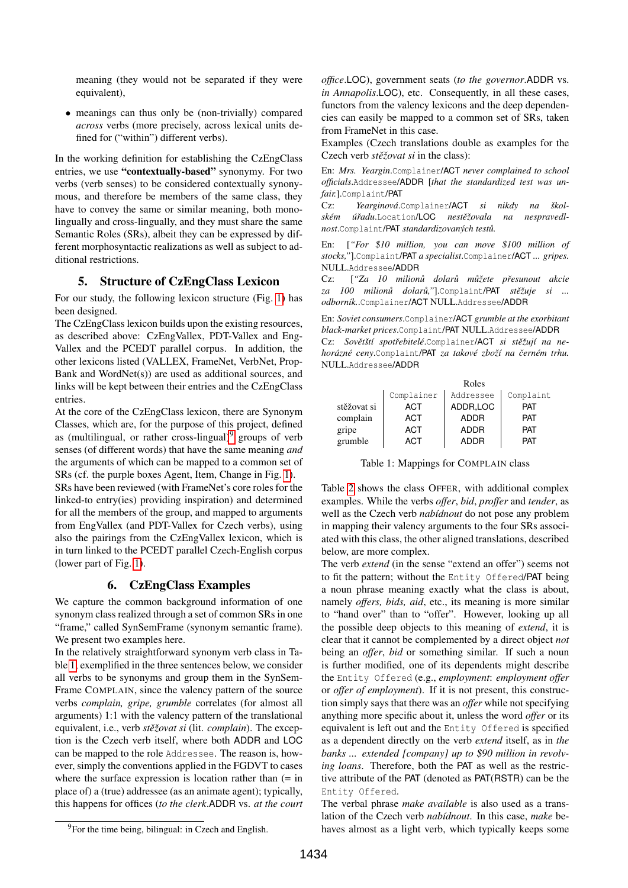meaning (they would not be separated if they were equivalent),

• meanings can thus only be (non-trivially) compared *across* verbs (more precisely, across lexical units defined for ("within") different verbs).

In the working definition for establishing the CzEngClass entries, we use "contextually-based" synonymy. For two verbs (verb senses) to be considered contextually synonymous, and therefore be members of the same class, they have to convey the same or similar meaning, both monolingually and cross-lingually, and they must share the same Semantic Roles (SRs), albeit they can be expressed by different morphosyntactic realizations as well as subject to additional restrictions.

# 5. Structure of CzEngClass Lexicon

<span id="page-2-0"></span>For our study, the following lexicon structure (Fig. [1\)](#page-3-0) has been designed.

The CzEngClass lexicon builds upon the existing resources, as described above: CzEngVallex, PDT-Vallex and Eng-Vallex and the PCEDT parallel corpus. In addition, the other lexicons listed (VALLEX, FrameNet, VerbNet, Prop-Bank and WordNet(s)) are used as additional sources, and links will be kept between their entries and the CzEngClass entries.

At the core of the CzEngClass lexicon, there are Synonym Classes, which are, for the purpose of this project, defined as (multilingual, or rather cross-lingual) $9$  groups of verb senses (of different words) that have the same meaning *and* the arguments of which can be mapped to a common set of SRs (cf. the purple boxes Agent, Item, Change in Fig. [1\)](#page-3-0).

SRs have been reviewed (with FrameNet's core roles for the linked-to entry(ies) providing inspiration) and determined for all the members of the group, and mapped to arguments from EngVallex (and PDT-Vallex for Czech verbs), using also the pairings from the CzEngVallex lexicon, which is in turn linked to the PCEDT parallel Czech-English corpus (lower part of Fig. [1\)](#page-3-0).

### 6. CzEngClass Examples

<span id="page-2-1"></span>We capture the common background information of one synonym class realized through a set of common SRs in one "frame," called SynSemFrame (synonym semantic frame). We present two examples here.

In the relatively straightforward synonym verb class in Table [1,](#page-2-3) exemplified in the three sentences below, we consider all verbs to be synonyms and group them in the SynSem-Frame COMPLAIN, since the valency pattern of the source verbs *complain, gripe, grumble* correlates (for almost all arguments) 1:1 with the valency pattern of the translational equivalent, i.e., verb *stěžovat si* (lit. *complain*). The exception is the Czech verb itself, where both ADDR and LOC can be mapped to the role Addressee. The reason is, however, simply the conventions applied in the FGDVT to cases where the surface expression is location rather than  $(=$  in place of) a (true) addressee (as an animate agent); typically, this happens for offices (*to the clerk*.ADDR vs. *at the court* *office*.LOC), government seats (*to the governor*.ADDR vs. *in Annapolis*.LOC), etc. Consequently, in all these cases, functors from the valency lexicons and the deep dependencies can easily be mapped to a common set of SRs, taken from FrameNet in this case.

Examples (Czech translations double as examples for the Czech verb *stěžovat si* in the class):

En: *Mrs. Yeargin*.Complainer/ACT *never complained to school officials*.Addressee/ADDR [*that the standardized test was unfair.*].Complaint/PAT

Cz: *Yearginová*.Complainer/ACT *si nikdy na škol*ském úřadu.Location/LOC nestěžovala na nespravedl*nost*.Complaint/**PAT** *standardizovaných testů*.

En: [*"For \$10 million, you can move \$100 million of stocks,"*].Complaint/PAT *a specialist*.Complainer/ACT *... gripes.* NULL.Addressee/ADDR

Cz: ["Za 10 milionů dolarů můžete přesunout akcie za 100 milionů dolarů,"].Complaint/PAT stěžuje si ... *odborník.*.Complainer/ACT NULL.Addressee/ADDR

En: *Soviet consumers*.Complainer/ACT *grumble at the exorbitant black-market prices*.Complaint/PAT NULL.Addressee/ADDR Cz: Sovětští spotřebitelé.Complainer/ACT si stěžují na ne*horázné ceny*.Complaint/PAT *za takové zboží na ˇcerném trhu.* NULL.Addressee/ADDR

|             | Roles      |             |            |  |  |
|-------------|------------|-------------|------------|--|--|
|             | Complainer | Addressee   | Complaint  |  |  |
| stěžovat si | ACT        | ADDR,LOC    | <b>PAT</b> |  |  |
| complain    | ACT        | <b>ADDR</b> | <b>PAT</b> |  |  |
| gripe       | ACT        | ADDR        | <b>PAT</b> |  |  |
| grumble     | ACT        | ADDR        | PAT        |  |  |

<span id="page-2-3"></span>Table 1: Mappings for COMPLAIN class

Table [2](#page-3-1) shows the class OFFER, with additional complex examples. While the verbs *offer*, *bid*, *proffer* and *tender*, as well as the Czech verb *nabídnout* do not pose any problem in mapping their valency arguments to the four SRs associated with this class, the other aligned translations, described below, are more complex.

The verb *extend* (in the sense "extend an offer") seems not to fit the pattern; without the Entity Offered/PAT being a noun phrase meaning exactly what the class is about, namely *offers, bids, aid*, etc., its meaning is more similar to "hand over" than to "offer". However, looking up all the possible deep objects to this meaning of *extend*, it is clear that it cannot be complemented by a direct object *not* being an *offer*, *bid* or something similar. If such a noun is further modified, one of its dependents might describe the Entity Offered (e.g., *employment*: *employment offer* or *offer of employment*). If it is not present, this construction simply says that there was an *offer* while not specifying anything more specific about it, unless the word *offer* or its equivalent is left out and the Entity Offered is specified as a dependent directly on the verb *extend* itself, as in *the banks ... extended [company] up to \$90 million in revolving loans*. Therefore, both the PAT as well as the restrictive attribute of the PAT (denoted as PAT(RSTR) can be the Entity Offered.

The verbal phrase *make available* is also used as a translation of the Czech verb *nabídnout*. In this case, *make* behaves almost as a light verb, which typically keeps some

<span id="page-2-2"></span><sup>&</sup>lt;sup>9</sup>For the time being, bilingual: in Czech and English.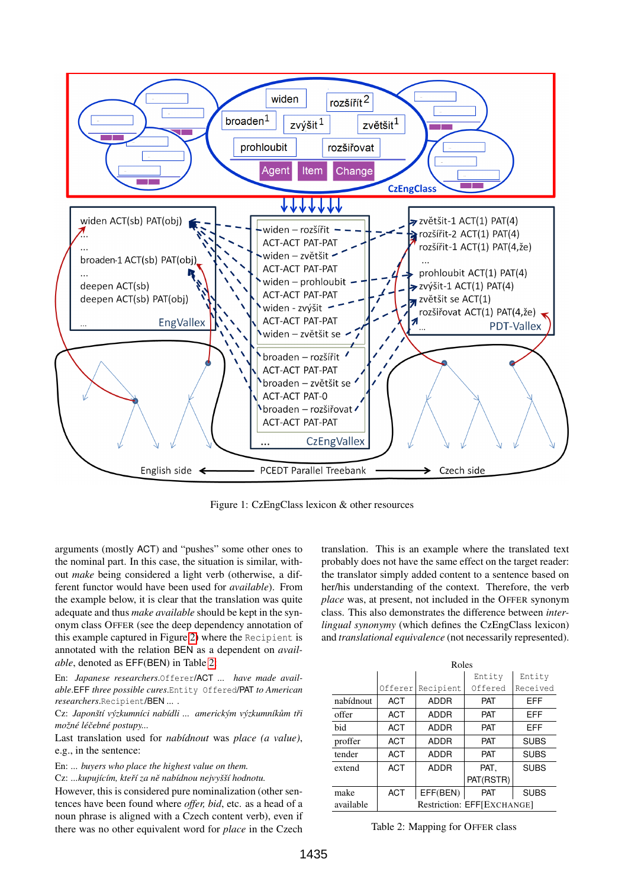

<span id="page-3-0"></span>Figure 1: CzEngClass lexicon & other resources

arguments (mostly ACT) and "pushes" some other ones to the nominal part. In this case, the situation is similar, without *make* being considered a light verb (otherwise, a different functor would have been used for *available*). From the example below, it is clear that the translation was quite adequate and thus *make available* should be kept in the synonym class OFFER (see the deep dependency annotation of this example captured in Figure [2\)](#page-4-15) where the Recipient is annotated with the relation BEN as a dependent on *available*, denoted as EFF(BEN) in Table [2:](#page-3-1)

En: *Japanese researchers*.Offerer/ACT *... have made available*.EFF *three possible cures*.Entity Offered/PAT *to American researchers*.Recipient/BEN *...* .

Cz: *Japonští výzkumníci nabídli ... americkým výzkumníkům tři možné léˇcebné postupy...*

Last translation used for *nabídnout* was *place (a value)*, e.g., in the sentence:

En: *... buyers who place the highest value on them.*

Cz: *...kupujícím, kteˇrí za nˇe nabídnou nejvyšší hodnotu.*

However, this is considered pure nominalization (other sentences have been found where *offer, bid*, etc. as a head of a noun phrase is aligned with a Czech content verb), even if there was no other equivalent word for *place* in the Czech translation. This is an example where the translated text probably does not have the same effect on the target reader: the translator simply added content to a sentence based on her/his understanding of the context. Therefore, the verb *place* was, at present, not included in the OFFER synonym class. This also demonstrates the difference between *interlingual synonymy* (which defines the CzEngClass lexicon) and *translational equivalence* (not necessarily represented).

|           | Roles                      |             |            |             |  |  |
|-----------|----------------------------|-------------|------------|-------------|--|--|
|           |                            |             | Entity     | Entity      |  |  |
|           | Offerer                    | Recipient   | Offered    | Received    |  |  |
| nabídnout | <b>ACT</b>                 | ADDR        | <b>PAT</b> | EFF         |  |  |
| offer     | <b>ACT</b>                 | ADDR        | <b>PAT</b> | EFF         |  |  |
| bid       | <b>ACT</b>                 | <b>ADDR</b> | <b>PAT</b> | EFF         |  |  |
| proffer   | <b>ACT</b>                 | ADDR        | <b>PAT</b> | <b>SUBS</b> |  |  |
| tender    | <b>ACT</b>                 | <b>ADDR</b> | <b>PAT</b> | <b>SUBS</b> |  |  |
| extend    | <b>ACT</b>                 | <b>ADDR</b> | PAT,       | <b>SUBS</b> |  |  |
|           |                            |             | PAT(RSTR)  |             |  |  |
| make      | <b>ACT</b>                 | EFF(BEN)    | <b>PAT</b> | <b>SUBS</b> |  |  |
| available | Restriction: EFFIEXCHANGE1 |             |            |             |  |  |

<span id="page-3-1"></span>Table 2: Mapping for OFFER class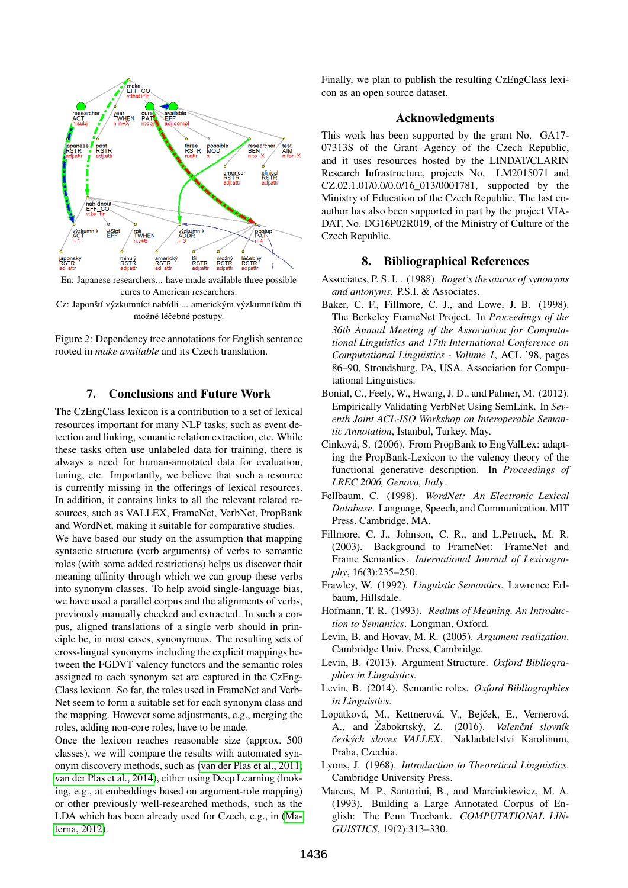

En: Japanese researchers... have made available three possible cures to American researchers.

Cz: Japonští výzkumníci nabídli ... americkým výzkumníkům tři možné léčebné postupy.

<span id="page-4-15"></span>Figure 2: Dependency tree annotations for English sentence rooted in *make available* and its Czech translation.

#### 7. Conclusions and Future Work

<span id="page-4-5"></span>The CzEngClass lexicon is a contribution to a set of lexical resources important for many NLP tasks, such as event detection and linking, semantic relation extraction, etc. While these tasks often use unlabeled data for training, there is always a need for human-annotated data for evaluation, tuning, etc. Importantly, we believe that such a resource is currently missing in the offerings of lexical resources. In addition, it contains links to all the relevant related resources, such as VALLEX, FrameNet, VerbNet, PropBank and WordNet, making it suitable for comparative studies.

We have based our study on the assumption that mapping syntactic structure (verb arguments) of verbs to semantic roles (with some added restrictions) helps us discover their meaning affinity through which we can group these verbs into synonym classes. To help avoid single-language bias, we have used a parallel corpus and the alignments of verbs, previously manually checked and extracted. In such a corpus, aligned translations of a single verb should in principle be, in most cases, synonymous. The resulting sets of cross-lingual synonyms including the explicit mappings between the FGDVT valency functors and the semantic roles assigned to each synonym set are captured in the CzEng-Class lexicon. So far, the roles used in FrameNet and Verb-Net seem to form a suitable set for each synonym class and the mapping. However some adjustments, e.g., merging the roles, adding non-core roles, have to be made.

Once the lexicon reaches reasonable size (approx. 500 classes), we will compare the results with automated synonym discovery methods, such as [\(van der Plas et al., 2011;](#page-5-13) [van der Plas et al., 2014\)](#page-5-14), either using Deep Learning (looking, e.g., at embeddings based on argument-role mapping) or other previously well-researched methods, such as the LDA which has been already used for Czech, e.g., in [\(Ma](#page-5-15)[terna, 2012\)](#page-5-15).

Finally, we plan to publish the resulting CzEngClass lexicon as an open source dataset.

#### Acknowledgments

This work has been supported by the grant No. GA17- 07313S of the Grant Agency of the Czech Republic, and it uses resources hosted by the LINDAT/CLARIN Research Infrastructure, projects No. LM2015071 and CZ.02.1.01/0.0/0.0/16 013/0001781, supported by the Ministry of Education of the Czech Republic. The last coauthor has also been supported in part by the project VIA-DAT, No. DG16P02R019, of the Ministry of Culture of the Czech Republic.

#### 8. Bibliographical References

- <span id="page-4-0"></span>Associates, P. S. I. . (1988). *Roget's thesaurus of synonyms and antonyms*. P.S.I. & Associates.
- <span id="page-4-9"></span>Baker, C. F., Fillmore, C. J., and Lowe, J. B. (1998). The Berkeley FrameNet Project. In *Proceedings of the 36th Annual Meeting of the Association for Computational Linguistics and 17th International Conference on Computational Linguistics - Volume 1*, ACL '98, pages 86–90, Stroudsburg, PA, USA. Association for Computational Linguistics.
- <span id="page-4-11"></span>Bonial, C., Feely, W., Hwang, J. D., and Palmer, M. (2012). Empirically Validating VerbNet Using SemLink. In *Seventh Joint ACL-ISO Workshop on Interoperable Semantic Annotation*, Istanbul, Turkey, May.
- <span id="page-4-7"></span>Cinková, S. (2006). From PropBank to EngValLex: adapting the PropBank-Lexicon to the valency theory of the functional generative description. In *Proceedings of LREC 2006, Genova, Italy*.
- <span id="page-4-1"></span>Fellbaum, C. (1998). *WordNet: An Electronic Lexical Database*. Language, Speech, and Communication. MIT Press, Cambridge, MA.
- <span id="page-4-10"></span>Fillmore, C. J., Johnson, C. R., and L.Petruck, M. R. (2003). Background to FrameNet: FrameNet and Frame Semantics. *International Journal of Lexicography*, 16(3):235–250.
- <span id="page-4-13"></span>Frawley, W. (1992). *Linguistic Semantics*. Lawrence Erlbaum, Hillsdale.
- <span id="page-4-12"></span>Hofmann, T. R. (1993). *Realms of Meaning. An Introduction to Semantics*. Longman, Oxford.
- <span id="page-4-14"></span>Levin, B. and Hovav, M. R. (2005). *Argument realization*. Cambridge Univ. Press, Cambridge.
- <span id="page-4-2"></span>Levin, B. (2013). Argument Structure. *Oxford Bibliographies in Linguistics*.
- <span id="page-4-3"></span>Levin, B. (2014). Semantic roles. *Oxford Bibliographies in Linguistics*.
- <span id="page-4-8"></span>Lopatková, M., Kettnerová, V., Bejček, E., Vernerová, A., and Žabokrtský, Z. (2016). *Valenční slovník ˇceských sloves VALLEX*. Nakladatelství Karolinum, Praha, Czechia.
- <span id="page-4-4"></span>Lyons, J. (1968). *Introduction to Theoretical Linguistics*. Cambridge University Press.
- <span id="page-4-6"></span>Marcus, M. P., Santorini, B., and Marcinkiewicz, M. A. (1993). Building a Large Annotated Corpus of English: The Penn Treebank. *COMPUTATIONAL LIN-GUISTICS*, 19(2):313–330.